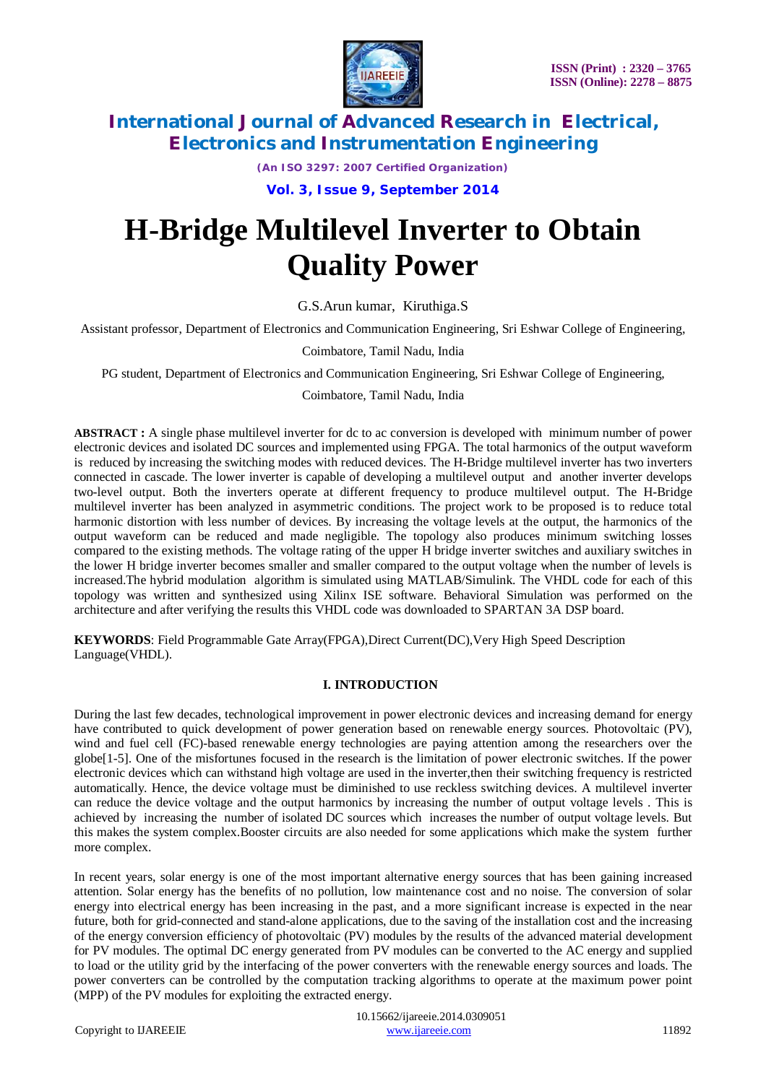

*(An ISO 3297: 2007 Certified Organization)* **Vol. 3, Issue 9, September 2014**

# **H-Bridge Multilevel Inverter to Obtain Quality Power**

G.S.Arun kumar, Kiruthiga.S

Assistant professor, Department of Electronics and Communication Engineering, Sri Eshwar College of Engineering,

Coimbatore, Tamil Nadu, India

PG student, Department of Electronics and Communication Engineering, Sri Eshwar College of Engineering,

Coimbatore, Tamil Nadu, India

**ABSTRACT :** A single phase multilevel inverter for dc to ac conversion is developed with minimum number of power electronic devices and isolated DC sources and implemented using FPGA. The total harmonics of the output waveform is reduced by increasing the switching modes with reduced devices. The H-Bridge multilevel inverter has two inverters connected in cascade. The lower inverter is capable of developing a multilevel output and another inverter develops two-level output. Both the inverters operate at different frequency to produce multilevel output. The H-Bridge multilevel inverter has been analyzed in asymmetric conditions. The project work to be proposed is to reduce total harmonic distortion with less number of devices. By increasing the voltage levels at the output, the harmonics of the output waveform can be reduced and made negligible. The topology also produces minimum switching losses compared to the existing methods. The voltage rating of the upper H bridge inverter switches and auxiliary switches in the lower H bridge inverter becomes smaller and smaller compared to the output voltage when the number of levels is increased.The hybrid modulation algorithm is simulated using MATLAB/Simulink. The VHDL code for each of this topology was written and synthesized using Xilinx ISE software. Behavioral Simulation was performed on the architecture and after verifying the results this VHDL code was downloaded to SPARTAN 3A DSP board.

**KEYWORDS**: Field Programmable Gate Array(FPGA),Direct Current(DC),Very High Speed Description Language(VHDL).

### **I. INTRODUCTION**

During the last few decades, technological improvement in power electronic devices and increasing demand for energy have contributed to quick development of power generation based on renewable energy sources. Photovoltaic (PV), wind and fuel cell (FC)-based renewable energy technologies are paying attention among the researchers over the globe[1-5]. One of the misfortunes focused in the research is the limitation of power electronic switches. If the power electronic devices which can withstand high voltage are used in the inverter,then their switching frequency is restricted automatically. Hence, the device voltage must be diminished to use reckless switching devices. A multilevel inverter can reduce the device voltage and the output harmonics by increasing the number of output voltage levels . This is achieved by increasing the number of isolated DC sources which increases the number of output voltage levels. But this makes the system complex.Booster circuits are also needed for some applications which make the system further more complex.

In recent years, solar energy is one of the most important alternative energy sources that has been gaining increased attention. Solar energy has the benefits of no pollution, low maintenance cost and no noise. The conversion of solar energy into electrical energy has been increasing in the past, and a more significant increase is expected in the near future, both for grid-connected and stand-alone applications, due to the saving of the installation cost and the increasing of the energy conversion efficiency of photovoltaic (PV) modules by the results of the advanced material development for PV modules. The optimal DC energy generated from PV modules can be converted to the AC energy and supplied to load or the utility grid by the interfacing of the power converters with the renewable energy sources and loads. The power converters can be controlled by the computation tracking algorithms to operate at the maximum power point (MPP) of the PV modules for exploiting the extracted energy.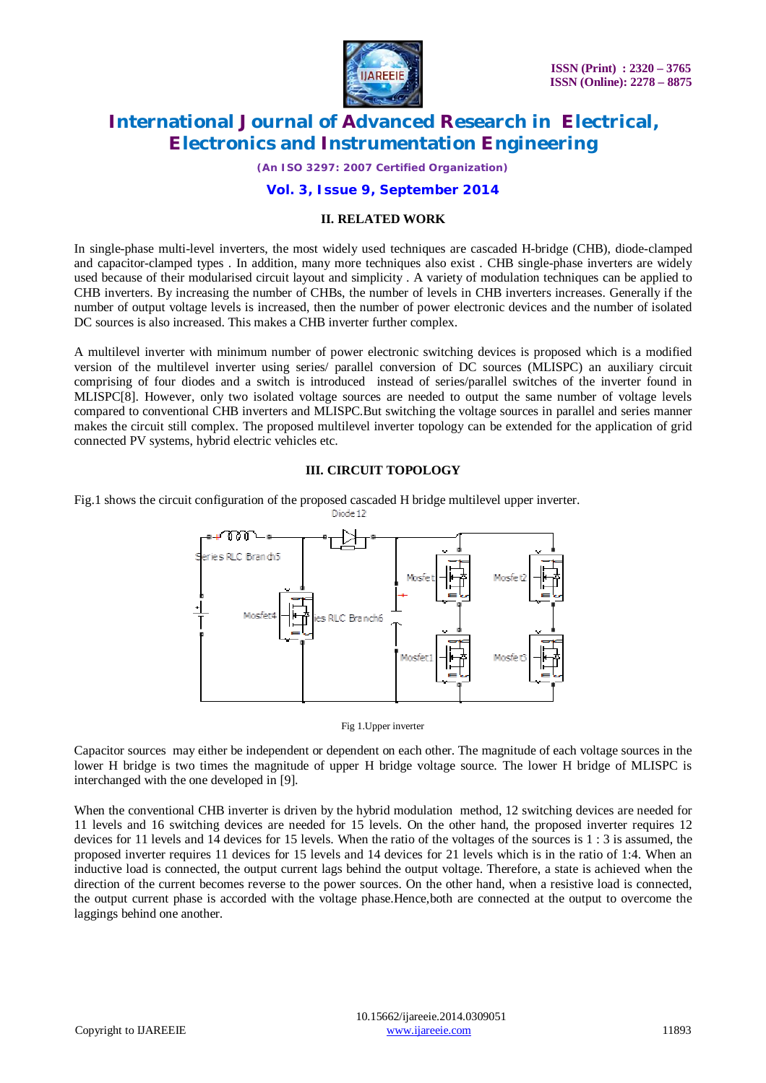

*(An ISO 3297: 2007 Certified Organization)*

### **Vol. 3, Issue 9, September 2014**

### **II. RELATED WORK**

In single-phase multi-level inverters, the most widely used techniques are cascaded H-bridge (CHB), diode-clamped and capacitor-clamped types . In addition, many more techniques also exist . CHB single-phase inverters are widely used because of their modularised circuit layout and simplicity . A variety of modulation techniques can be applied to CHB inverters. By increasing the number of CHBs, the number of levels in CHB inverters increases. Generally if the number of output voltage levels is increased, then the number of power electronic devices and the number of isolated DC sources is also increased. This makes a CHB inverter further complex.

A multilevel inverter with minimum number of power electronic switching devices is proposed which is a modified version of the multilevel inverter using series/ parallel conversion of DC sources (MLISPC) an auxiliary circuit comprising of four diodes and a switch is introduced instead of series/parallel switches of the inverter found in MLISPC[8]. However, only two isolated voltage sources are needed to output the same number of voltage levels compared to conventional CHB inverters and MLISPC.But switching the voltage sources in parallel and series manner makes the circuit still complex. The proposed multilevel inverter topology can be extended for the application of grid connected PV systems, hybrid electric vehicles etc.

### **III. CIRCUIT TOPOLOGY**

Fig.1 shows the circuit configuration of the proposed cascaded H bridge multilevel upper inverter.



Fig 1.Upper inverter

Capacitor sources may either be independent or dependent on each other. The magnitude of each voltage sources in the lower H bridge is two times the magnitude of upper H bridge voltage source. The lower H bridge of MLISPC is interchanged with the one developed in [9].

When the conventional CHB inverter is driven by the hybrid modulation method, 12 switching devices are needed for 11 levels and 16 switching devices are needed for 15 levels. On the other hand, the proposed inverter requires 12 devices for 11 levels and 14 devices for 15 levels. When the ratio of the voltages of the sources is 1 : 3 is assumed, the proposed inverter requires 11 devices for 15 levels and 14 devices for 21 levels which is in the ratio of 1:4. When an inductive load is connected, the output current lags behind the output voltage. Therefore, a state is achieved when the direction of the current becomes reverse to the power sources. On the other hand, when a resistive load is connected, the output current phase is accorded with the voltage phase.Hence,both are connected at the output to overcome the laggings behind one another.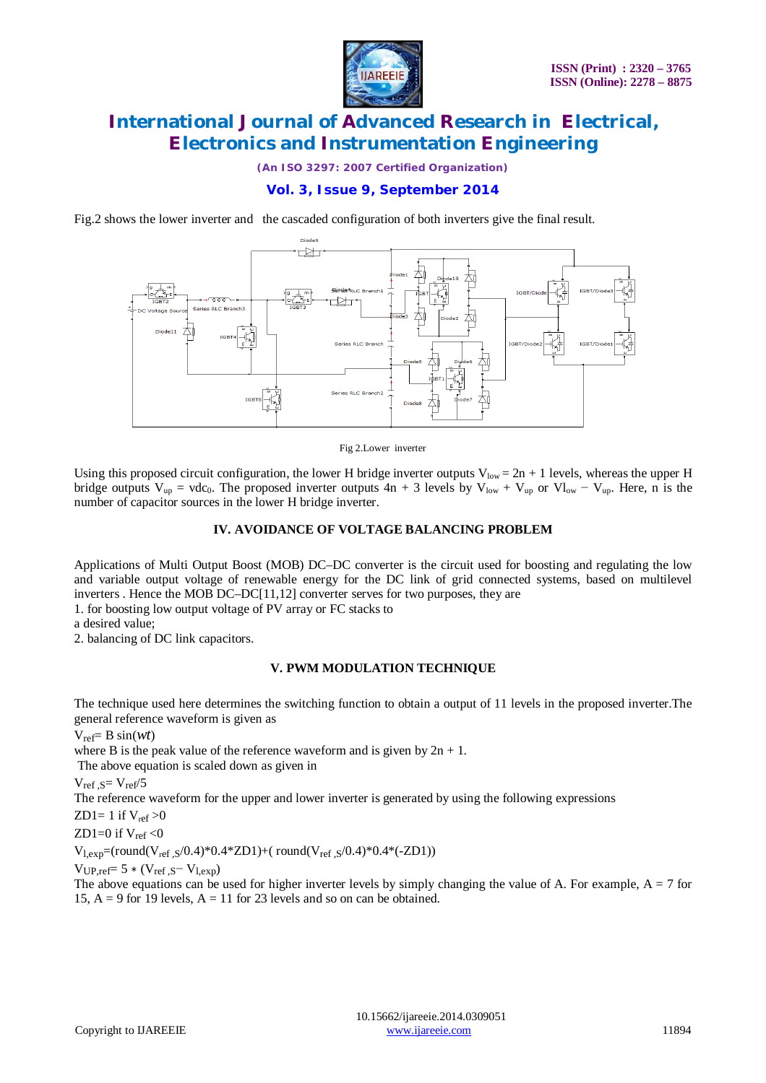

*(An ISO 3297: 2007 Certified Organization)*

## **Vol. 3, Issue 9, September 2014**

Fig.2 shows the lower inverter and the cascaded configuration of both inverters give the final result.



#### Fig 2.Lower inverter

Using this proposed circuit configuration, the lower H bridge inverter outputs  $V_{low} = 2n + 1$  levels, whereas the upper H bridge outputs  $V_{up} = vdc_0$ . The proposed inverter outputs 4n + 3 levels by  $V_{low} + V_{up}$  or  $V_{low} - V_{up}$ . Here, n is the number of capacitor sources in the lower H bridge inverter.

#### **IV. AVOIDANCE OF VOLTAGE BALANCING PROBLEM**

Applications of Multi Output Boost (MOB) DC–DC converter is the circuit used for boosting and regulating the low and variable output voltage of renewable energy for the DC link of grid connected systems, based on multilevel inverters . Hence the MOB DC–DC[11,12] converter serves for two purposes, they are

1. for boosting low output voltage of PV array or FC stacks to

a desired value;

2. balancing of DC link capacitors.

### **V. PWM MODULATION TECHNIQUE**

The technique used here determines the switching function to obtain a output of 11 levels in the proposed inverter.The general reference waveform is given as

 $V_{ref} = B \sin(wt)$ 

where B is the peak value of the reference waveform and is given by  $2n + 1$ .

The above equation is scaled down as given in

 $V_{ref}$   $\varsigma = V_{ref}/5$ 

The reference waveform for the upper and lower inverter is generated by using the following expressions

ZD1= 1 if  $V_{ref}$  >0

ZD1=0 if 
$$
V_{ref} < 0
$$

 $V_{l,exp}$ =(round( $V_{ref, S}/0.4$ )\*0.4\*ZD1)+( round( $V_{ref, S}/0.4$ )\*0.4\*(-ZD1))

 $V_{UP}$  ref= 5  $*$  ( $V_{ref}$   $S-V_{lev}$ )

The above equations can be used for higher inverter levels by simply changing the value of A. For example,  $A = 7$  for 15,  $A = 9$  for 19 levels,  $A = 11$  for 23 levels and so on can be obtained.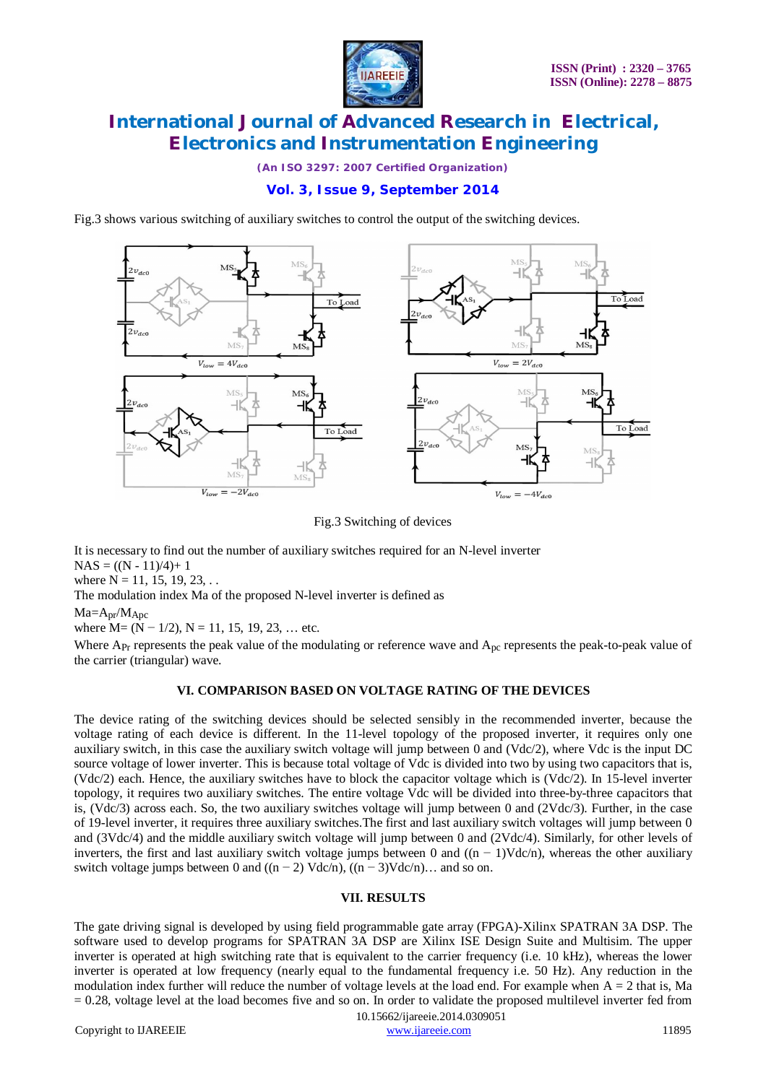

*(An ISO 3297: 2007 Certified Organization)*

### **Vol. 3, Issue 9, September 2014**

Fig.3 shows various switching of auxiliary switches to control the output of the switching devices.



Fig.3 Switching of devices

It is necessary to find out the number of auxiliary switches required for an N-level inverter  $NAS = ((N - 11)/4) + 1$ 

where  $N = 11, 15, 19, 23, \ldots$ 

The modulation index Ma of the proposed N-level inverter is defined as

 $Ma = A_{pr}/M_{Apc}$ 

where  $M = (N - 1/2)$ ,  $N = 11, 15, 19, 23, \dots$  etc.

Where  $A_{\text{Pr}}$  represents the peak value of the modulating or reference wave and  $A_{\text{pc}}$  represents the peak-to-peak value of the carrier (triangular) wave.

### **VI. COMPARISON BASED ON VOLTAGE RATING OF THE DEVICES**

The device rating of the switching devices should be selected sensibly in the recommended inverter, because the voltage rating of each device is different. In the 11-level topology of the proposed inverter, it requires only one auxiliary switch, in this case the auxiliary switch voltage will jump between 0 and (Vdc/2), where Vdc is the input DC source voltage of lower inverter. This is because total voltage of Vdc is divided into two by using two capacitors that is, (Vdc/2) each. Hence, the auxiliary switches have to block the capacitor voltage which is (Vdc/2). In 15-level inverter topology, it requires two auxiliary switches. The entire voltage Vdc will be divided into three-by-three capacitors that is, (Vdc/3) across each. So, the two auxiliary switches voltage will jump between 0 and (2Vdc/3). Further, in the case of 19-level inverter, it requires three auxiliary switches.The first and last auxiliary switch voltages will jump between 0 and (3Vdc/4) and the middle auxiliary switch voltage will jump between 0 and (2Vdc/4). Similarly, for other levels of inverters, the first and last auxiliary switch voltage jumps between 0 and  $((n - 1) \text{Vdc/n})$ , whereas the other auxiliary switch voltage jumps between 0 and  $((n-2) \text{ Vdc/n})$ ,  $((n-3) \text{Vdc/n})$ ... and so on.

### **VII. RESULTS**

The gate driving signal is developed by using field programmable gate array (FPGA)-Xilinx SPATRAN 3A DSP. The software used to develop programs for SPATRAN 3A DSP are Xilinx ISE Design Suite and Multisim. The upper inverter is operated at high switching rate that is equivalent to the carrier frequency (i.e. 10 kHz), whereas the lower inverter is operated at low frequency (nearly equal to the fundamental frequency i.e. 50 Hz). Any reduction in the modulation index further will reduce the number of voltage levels at the load end. For example when  $A = 2$  that is, Ma = 0.28, voltage level at the load becomes five and so on. In order to validate the proposed multilevel inverter fed from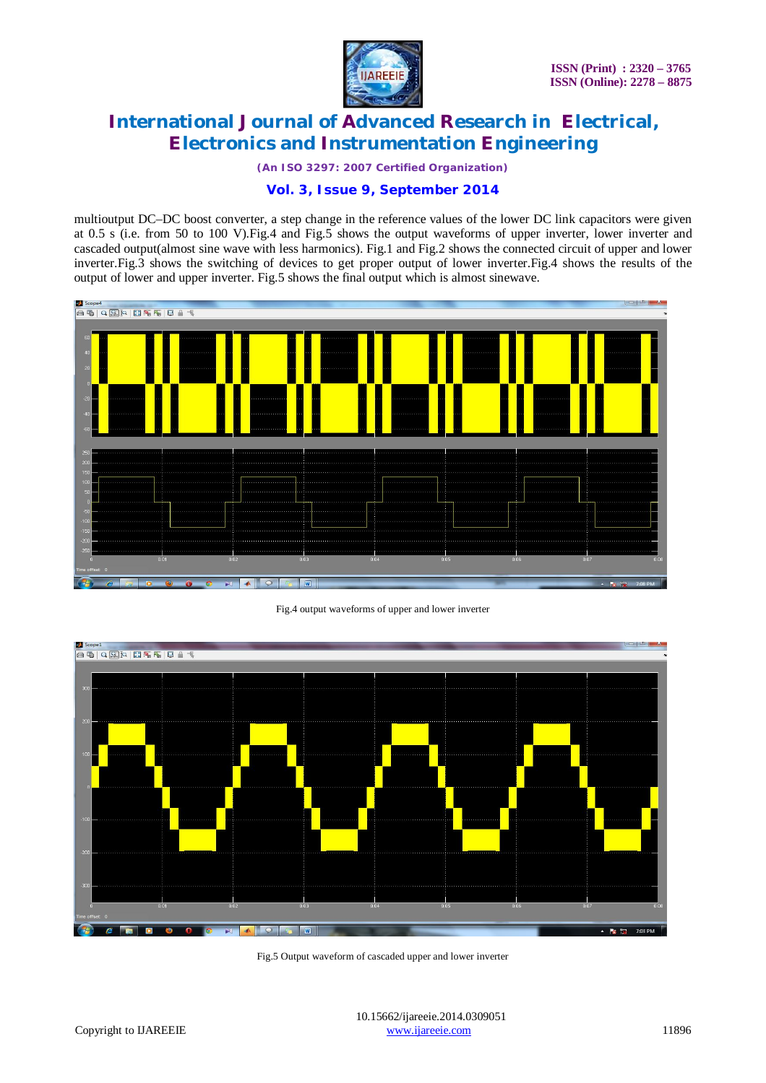

*(An ISO 3297: 2007 Certified Organization)*

### **Vol. 3, Issue 9, September 2014**

multioutput DC–DC boost converter, a step change in the reference values of the lower DC link capacitors were given at 0.5 s (i.e. from 50 to 100 V).Fig.4 and Fig.5 shows the output waveforms of upper inverter, lower inverter and cascaded output(almost sine wave with less harmonics). Fig.1 and Fig.2 shows the connected circuit of upper and lower inverter.Fig.3 shows the switching of devices to get proper output of lower inverter.Fig.4 shows the results of the output of lower and upper inverter. Fig.5 shows the final output which is almost sinewave.



Fig.4 output waveforms of upper and lower inverter



Fig.5 Output waveform of cascaded upper and lower inverter